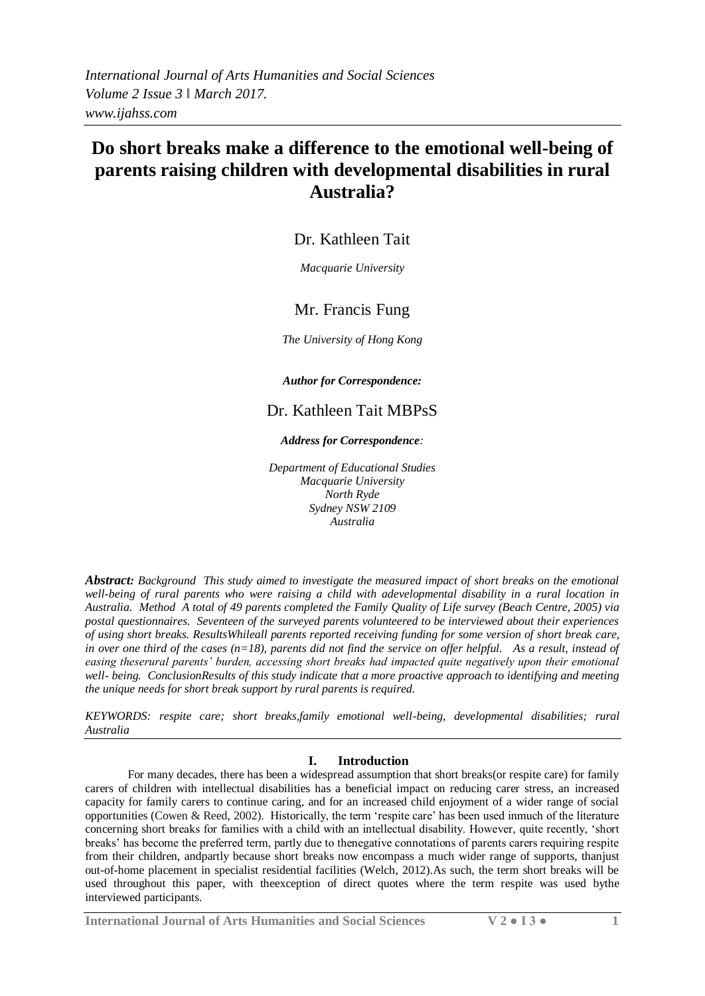# **Do short breaks make a difference to the emotional well-being of parents raising children with developmental disabilities in rural Australia?**

## Dr. Kathleen Tait

*Macquarie University*

## Mr. Francis Fung

*The University of Hong Kong*

*Author for Correspondence:*

## Dr. Kathleen Tait MBPsS

#### *Address for Correspondence:*

*Department of Educational Studies Macquarie University North Ryde Sydney NSW 2109 Australia*

*Abstract: Background This study aimed to investigate the measured impact of short breaks on the emotional well-being of rural parents who were raising a child with adevelopmental disability in a rural location in Australia. Method A total of 49 parents completed the Family Quality of Life survey (Beach Centre, 2005) via postal questionnaires. Seventeen of the surveyed parents volunteered to be interviewed about their experiences of using short breaks. ResultsWhileall parents reported receiving funding for some version of short break care,*  in over one third of the cases (n=18), parents did not find the service on offer helpful. As a result, instead of *easing theserural parents' burden, accessing short breaks had impacted quite negatively upon their emotional well- being. ConclusionResults of this study indicate that a more proactive approach to identifying and meeting the unique needs for short break support by rural parents is required.* 

*KEYWORDS: respite care; short breaks,family emotional well-being, developmental disabilities; rural Australia*

### **I. Introduction**

For many decades, there has been a widespread assumption that short breaks(or respite care) for family carers of children with intellectual disabilities has a beneficial impact on reducing carer stress, an increased capacity for family carers to continue caring, and for an increased child enjoyment of a wider range of social opportunities (Cowen & Reed, 2002). Historically, the term 'respite care' has been used inmuch of the literature concerning short breaks for families with a child with an intellectual disability. However, quite recently, 'short breaks' has become the preferred term, partly due to thenegative connotations of parents carers requiring respite from their children, andpartly because short breaks now encompass a much wider range of supports, thanjust out-of-home placement in specialist residential facilities (Welch, 2012).As such, the term short breaks will be used throughout this paper, with theexception of direct quotes where the term respite was used bythe interviewed participants.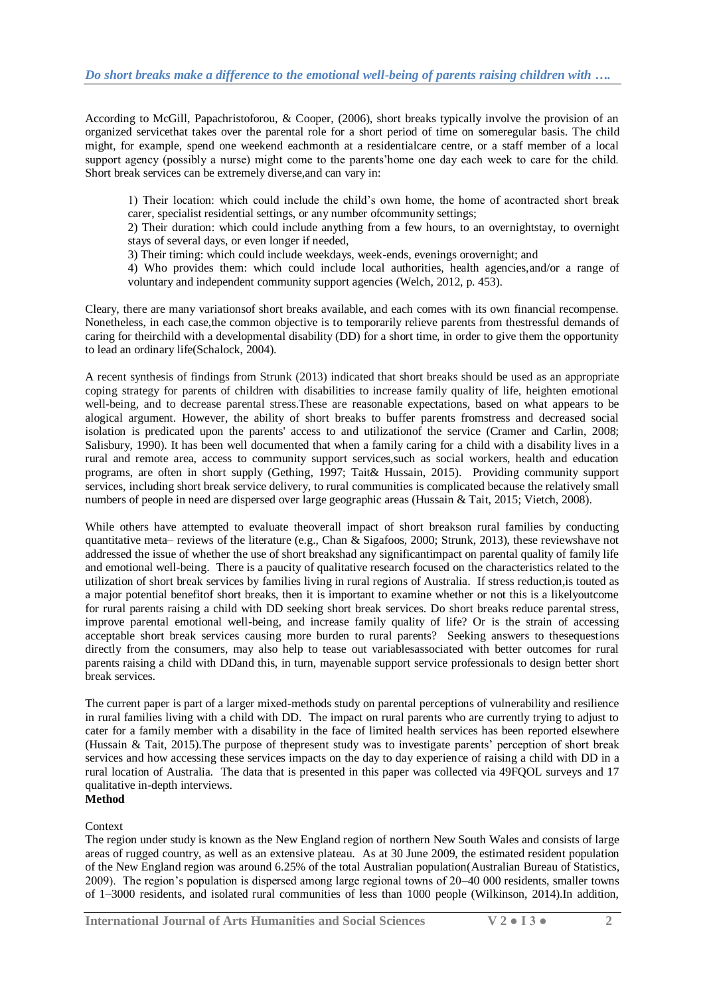According to McGill, Papachristoforou, & Cooper, (2006), short breaks typically involve the provision of an organized servicethat takes over the parental role for a short period of time on someregular basis. The child might, for example, spend one weekend eachmonth at a residentialcare centre, or a staff member of a local support agency (possibly a nurse) might come to the parents'home one day each week to care for the child. Short break services can be extremely diverse,and can vary in:

1) Their location: which could include the child's own home, the home of acontracted short break carer, specialist residential settings, or any number ofcommunity settings;

2) Their duration: which could include anything from a few hours, to an overnightstay, to overnight stays of several days, or even longer if needed,

3) Their timing: which could include weekdays, week-ends, evenings orovernight; and

4) Who provides them: which could include local authorities, health agencies,and/or a range of voluntary and independent community support agencies (Welch, 2012, p. 453).

Cleary, there are many variationsof short breaks available, and each comes with its own financial recompense. Nonetheless, in each case,the common objective is to temporarily relieve parents from thestressful demands of caring for theirchild with a developmental disability (DD) for a short time, in order to give them the opportunity to lead an ordinary life(Schalock, 2004).

A recent synthesis of findings from Strunk (2013) indicated that short breaks should be used as an appropriate coping strategy for parents of children with disabilities to increase family quality of life, heighten emotional well-being, and to decrease parental stress.These are reasonable expectations, based on what appears to be alogical argument. However, the ability of short breaks to buffer parents fromstress and decreased social isolation is predicated upon the parents' access to and utilizationof the service (Cramer and Carlin, 2008; Salisbury, 1990). It has been well documented that when a family caring for a child with a disability lives in a rural and remote area, access to community support services,such as social workers, health and education programs, are often in short supply (Gething, 1997; Tait& Hussain, 2015). Providing community support services, including short break service delivery, to rural communities is complicated because the relatively small numbers of people in need are dispersed over large geographic areas (Hussain & Tait, 2015; Vietch, 2008).

While others have attempted to evaluate theoverall impact of short breakson rural families by conducting quantitative meta– reviews of the literature (e.g., Chan & Sigafoos, 2000; Strunk, 2013), these reviewshave not addressed the issue of whether the use of short breakshad any significantimpact on parental quality of family life and emotional well-being. There is a paucity of qualitative research focused on the characteristics related to the utilization of short break services by families living in rural regions of Australia. If stress reduction,is touted as a major potential benefitof short breaks, then it is important to examine whether or not this is a likelyoutcome for rural parents raising a child with DD seeking short break services. Do short breaks reduce parental stress, improve parental emotional well-being, and increase family quality of life? Or is the strain of accessing acceptable short break services causing more burden to rural parents? Seeking answers to thesequestions directly from the consumers, may also help to tease out variablesassociated with better outcomes for rural parents raising a child with DDand this, in turn, mayenable support service professionals to design better short break services.

The current paper is part of a larger mixed-methods study on parental perceptions of vulnerability and resilience in rural families living with a child with DD. The impact on rural parents who are currently trying to adjust to cater for a family member with a disability in the face of limited health services has been reported elsewhere (Hussain & Tait, 2015).The purpose of thepresent study was to investigate parents' perception of short break services and how accessing these services impacts on the day to day experience of raising a child with DD in a rural location of Australia. The data that is presented in this paper was collected via 49FQOL surveys and 17 qualitative in-depth interviews. **Method**

#### Context

The region under study is known as the New England region of northern New South Wales and consists of large areas of rugged country, as well as an extensive plateau. As at 30 June 2009, the estimated resident population of the New England region was around 6.25% of the total Australian population(Australian Bureau of Statistics, 2009). The region's population is dispersed among large regional towns of 20–40 000 residents, smaller towns of 1–3000 residents, and isolated rural communities of less than 1000 people (Wilkinson, 2014).In addition,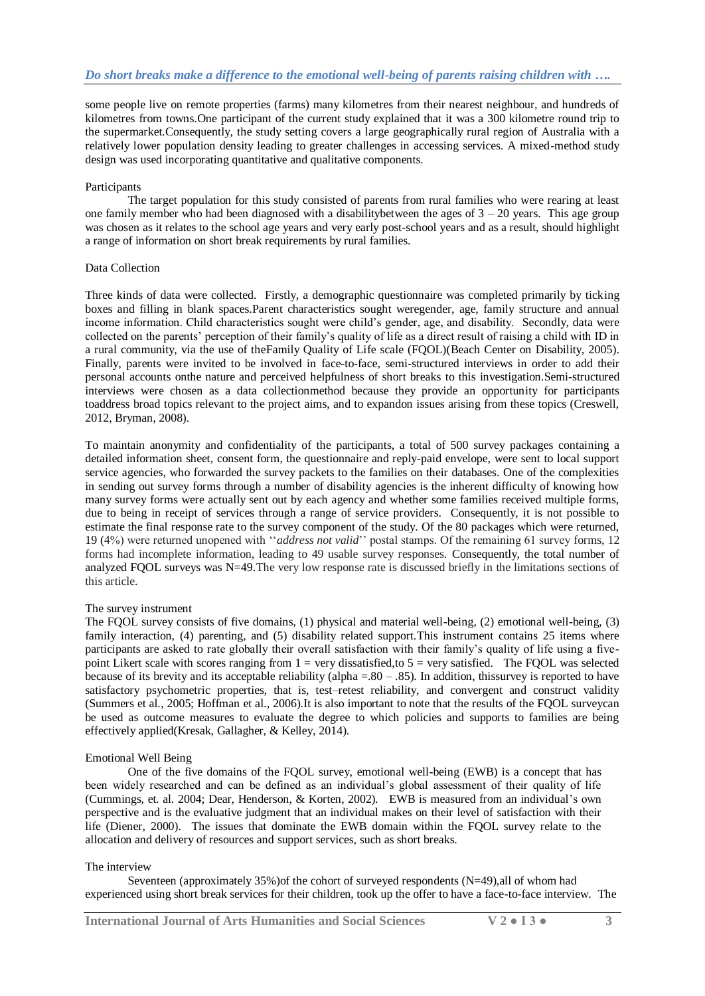some people live on remote properties (farms) many kilometres from their nearest neighbour, and hundreds of kilometres from towns.One participant of the current study explained that it was a 300 kilometre round trip to the supermarket.Consequently, the study setting covers a large geographically rural region of Australia with a relatively lower population density leading to greater challenges in accessing services. A mixed-method study design was used incorporating quantitative and qualitative components.

#### **Participants**

The target population for this study consisted of parents from rural families who were rearing at least one family member who had been diagnosed with a disability between the ages of  $3 - 20$  years. This age group was chosen as it relates to the school age years and very early post-school years and as a result, should highlight a range of information on short break requirements by rural families.

#### Data Collection

Three kinds of data were collected. Firstly, a demographic questionnaire was completed primarily by ticking boxes and filling in blank spaces.Parent characteristics sought weregender, age, family structure and annual income information. Child characteristics sought were child's gender, age, and disability. Secondly, data were collected on the parents' perception of their family's quality of life as a direct result of raising a child with ID in a rural community, via the use of theFamily Quality of Life scale (FQOL)(Beach Center on Disability, 2005). Finally, parents were invited to be involved in face-to-face, semi-structured interviews in order to add their personal accounts onthe nature and perceived helpfulness of short breaks to this investigation.Semi-structured interviews were chosen as a data collectionmethod because they provide an opportunity for participants toaddress broad topics relevant to the project aims, and to expandon issues arising from these topics (Creswell, 2012, Bryman, 2008).

To maintain anonymity and confidentiality of the participants, a total of 500 survey packages containing a detailed information sheet, consent form, the questionnaire and reply-paid envelope, were sent to local support service agencies, who forwarded the survey packets to the families on their databases. One of the complexities in sending out survey forms through a number of disability agencies is the inherent difficulty of knowing how many survey forms were actually sent out by each agency and whether some families received multiple forms, due to being in receipt of services through a range of service providers. Consequently, it is not possible to estimate the final response rate to the survey component of the study. Of the 80 packages which were returned, 19 (4%) were returned unopened with ''*address not valid*'' postal stamps. Of the remaining 61 survey forms, 12 forms had incomplete information, leading to 49 usable survey responses. Consequently, the total number of analyzed FQOL surveys was N=49.The very low response rate is discussed briefly in the limitations sections of this article.

#### The survey instrument

The FQOL survey consists of five domains, (1) physical and material well-being, (2) emotional well-being, (3) family interaction, (4) parenting, and (5) disability related support. This instrument contains 25 items where participants are asked to rate globally their overall satisfaction with their family's quality of life using a fivepoint Likert scale with scores ranging from  $1 = \text{very dissatisfied}, \text{to } 5 = \text{very satisfied}.$  The FQOL was selected because of its brevity and its acceptable reliability (alpha =.80 – .85). In addition, thissurvey is reported to have satisfactory psychometric properties, that is, test–retest reliability, and convergent and construct validity (Summers et al., 2005; Hoffman et al., 2006).It is also important to note that the results of the FQOL surveycan be used as outcome measures to evaluate the degree to which policies and supports to families are being effectively applied(Kresak, Gallagher, & Kelley, 2014).

#### Emotional Well Being

One of the five domains of the FQOL survey, emotional well-being (EWB) is a concept that has been widely researched and can be defined as an individual's global assessment of their quality of life (Cummings, et. al. 2004; Dear, Henderson, & Korten, 2002). EWB is measured from an individual's own perspective and is the evaluative judgment that an individual makes on their level of satisfaction with their life (Diener, 2000). The issues that dominate the EWB domain within the FQOL survey relate to the allocation and delivery of resources and support services, such as short breaks.

#### The interview

Seventeen (approximately 35%)of the cohort of surveyed respondents (N=49),all of whom had experienced using short break services for their children, took up the offer to have a face-to-face interview. The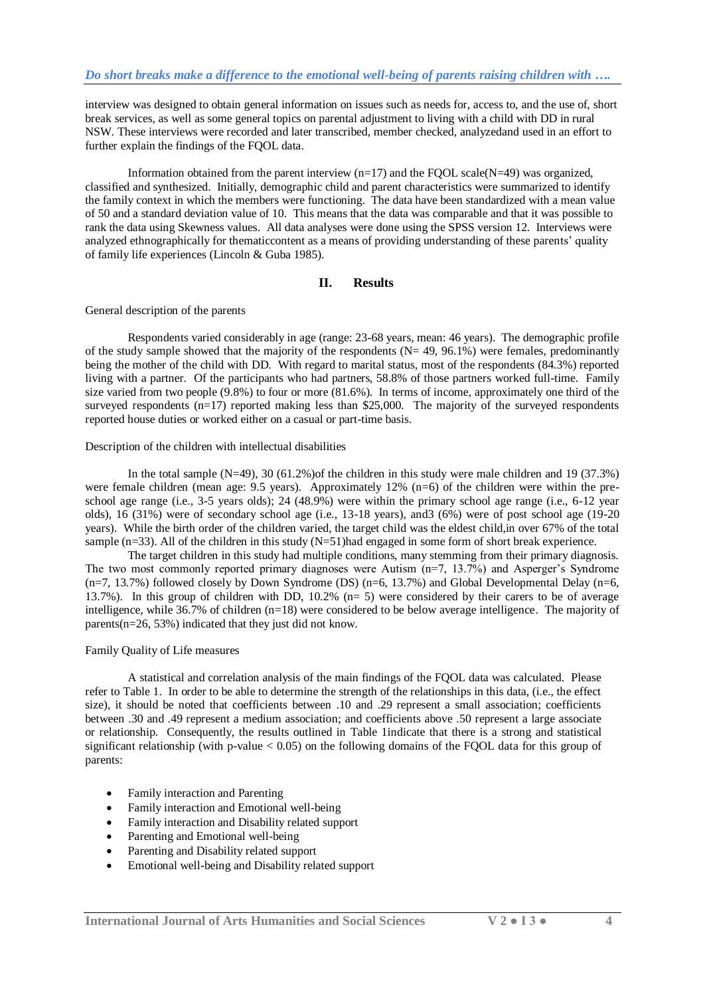interview was designed to obtain general information on issues such as needs for, access to, and the use of, short break services, as well as some general topics on parental adjustment to living with a child with DD in rural NSW. These interviews were recorded and later transcribed, member checked, analyzedand used in an effort to further explain the findings of the FQOL data.

Information obtained from the parent interview (n=17) and the FQOL scale(N=49) was organized, classified and synthesized. Initially, demographic child and parent characteristics were summarized to identify the family context in which the members were functioning. The data have been standardized with a mean value of 50 and a standard deviation value of 10. This means that the data was comparable and that it was possible to rank the data using Skewness values. All data analyses were done using the SPSS version 12. Interviews were analyzed ethnographically for thematiccontent as a means of providing understanding of these parents' quality of family life experiences (Lincoln & Guba 1985).

#### **II. Results**

#### General description of the parents

Respondents varied considerably in age (range: 23-68 years, mean: 46 years). The demographic profile of the study sample showed that the majority of the respondents  $(N= 49, 96.1%)$  were females, predominantly being the mother of the child with DD. With regard to marital status, most of the respondents (84.3%) reported living with a partner. Of the participants who had partners, 58.8% of those partners worked full-time. Family size varied from two people (9.8%) to four or more (81.6%). In terms of income, approximately one third of the surveyed respondents (n=17) reported making less than \$25,000. The majority of the surveyed respondents reported house duties or worked either on a casual or part-time basis.

Description of the children with intellectual disabilities

In the total sample (N=49), 30 (61.2%) of the children in this study were male children and 19 (37.3%) were female children (mean age: 9.5 years). Approximately 12% (n=6) of the children were within the preschool age range (i.e., 3-5 years olds); 24 (48.9%) were within the primary school age range (i.e., 6-12 year olds), 16 (31%) were of secondary school age (i.e., 13-18 years), and3 (6%) were of post school age (19-20 years). While the birth order of the children varied, the target child was the eldest child,in over 67% of the total sample (n=33). All of the children in this study  $(N=51)$ had engaged in some form of short break experience.

The target children in this study had multiple conditions, many stemming from their primary diagnosis. The two most commonly reported primary diagnoses were Autism (n=7, 13.7%) and Asperger's Syndrome  $(n=7, 13.7%)$  followed closely by Down Syndrome (DS)  $(n=6, 13.7%)$  and Global Developmental Delay  $(n=6, 13.7%)$ 13.7%). In this group of children with DD, 10.2% (n= 5) were considered by their carers to be of average intelligence, while 36.7% of children (n=18) were considered to be below average intelligence. The majority of parents(n=26, 53%) indicated that they just did not know.

#### Family Quality of Life measures

A statistical and correlation analysis of the main findings of the FQOL data was calculated. Please refer to Table 1. In order to be able to determine the strength of the relationships in this data, (i.e., the effect size), it should be noted that coefficients between .10 and .29 represent a small association; coefficients between .30 and .49 represent a medium association; and coefficients above .50 represent a large associate or relationship. Consequently, the results outlined in Table 1indicate that there is a strong and statistical significant relationship (with p-value  $< 0.05$ ) on the following domains of the FQOL data for this group of parents:

- Family interaction and Parenting
- Family interaction and Emotional well-being
- Family interaction and Disability related support
- Parenting and Emotional well-being
- Parenting and Disability related support
- Emotional well-being and Disability related support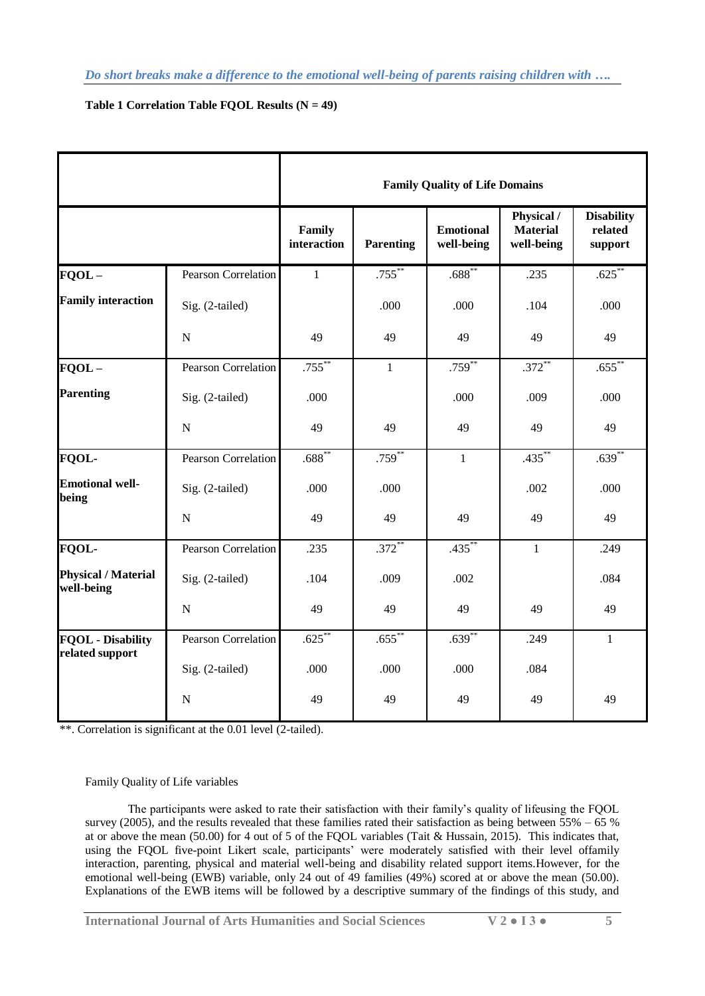**Table 1 Correlation Table FQOL Results (N = 49)**

|                                             |                            | <b>Family Quality of Life Domains</b> |                      |                                |                                             |                                         |
|---------------------------------------------|----------------------------|---------------------------------------|----------------------|--------------------------------|---------------------------------------------|-----------------------------------------|
|                                             |                            | Family<br>interaction                 | <b>Parenting</b>     | <b>Emotional</b><br>well-being | Physical /<br><b>Material</b><br>well-being | <b>Disability</b><br>related<br>support |
| $FOOL -$                                    | <b>Pearson Correlation</b> | $\mathbf{1}$                          | $.755***$            | $.688***$                      | .235                                        | .625                                    |
| <b>Family interaction</b>                   | Sig. (2-tailed)            |                                       | .000                 | .000                           | .104                                        | .000                                    |
|                                             | $\mathbf N$                | 49                                    | 49                   | 49                             | 49                                          | 49                                      |
| $FQOL -$                                    | Pearson Correlation        | $.755***$                             | $\mathbf{1}$         | .759                           | $.372***$                                   | $.655***$                               |
| <b>Parenting</b>                            | Sig. (2-tailed)            | .000                                  |                      | .000                           | .009                                        | .000                                    |
|                                             | $\mathbf N$                | 49                                    | 49                   | 49                             | 49                                          | 49                                      |
| <b>FQOL-</b>                                | Pearson Correlation        | $.688***$                             | .759                 | $\mathbf{1}$                   | $.435***$                                   | $.639***$                               |
| <b>Emotional well-</b><br>being             | Sig. (2-tailed)            | .000                                  | .000                 |                                | .002                                        | .000                                    |
|                                             | $\mathbf N$                | 49                                    | 49                   | 49                             | 49                                          | 49                                      |
| <b>FQOL-</b>                                | Pearson Correlation        | .235                                  | .372                 | .435                           | $\mathbf{1}$                                | .249                                    |
| <b>Physical / Material</b><br>well-being    | Sig. (2-tailed)            | .104                                  | .009                 | .002                           |                                             | .084                                    |
|                                             | $\mathbf N$                | 49                                    | 49                   | 49                             | 49                                          | 49                                      |
| <b>FQOL</b> - Disability<br>related support | Pearson Correlation        | .625                                  | $.655$ <sup>**</sup> | $.639***$                      | .249                                        | $\mathbf{1}$                            |
|                                             | Sig. (2-tailed)            | .000                                  | .000                 | .000                           | .084                                        |                                         |
|                                             | $\mathbf N$                | 49                                    | 49                   | 49                             | 49                                          | 49                                      |

\*\*. Correlation is significant at the 0.01 level (2-tailed).

#### Family Quality of Life variables

The participants were asked to rate their satisfaction with their family's quality of lifeusing the FQOL survey (2005), and the results revealed that these families rated their satisfaction as being between  $55\% - 65\%$ at or above the mean (50.00) for 4 out of 5 of the FQOL variables (Tait & Hussain, 2015). This indicates that, using the FQOL five-point Likert scale, participants' were moderately satisfied with their level offamily interaction, parenting, physical and material well-being and disability related support items.However, for the emotional well-being (EWB) variable, only 24 out of 49 families (49%) scored at or above the mean (50.00). Explanations of the EWB items will be followed by a descriptive summary of the findings of this study, and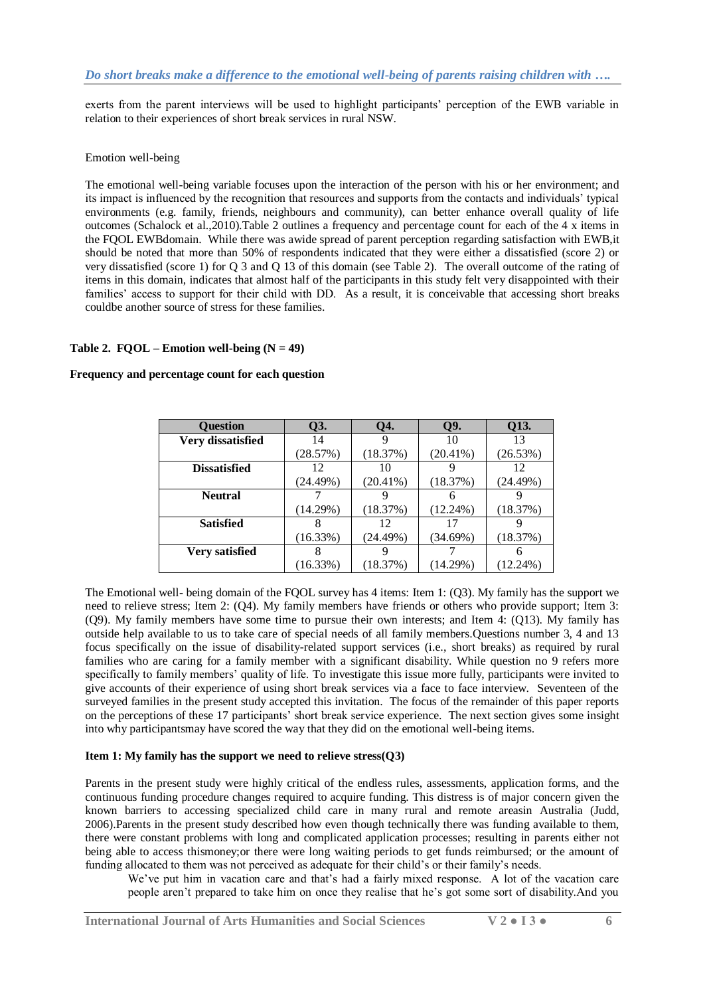exerts from the parent interviews will be used to highlight participants' perception of the EWB variable in relation to their experiences of short break services in rural NSW.

#### Emotion well-being

The emotional well-being variable focuses upon the interaction of the person with his or her environment; and its impact is influenced by the recognition that resources and supports from the contacts and individuals' typical environments (e.g. family, friends, neighbours and community), can better enhance overall quality of life outcomes (Schalock et al.,2010).Table 2 outlines a frequency and percentage count for each of the 4 x items in the FQOL EWBdomain. While there was awide spread of parent perception regarding satisfaction with EWB,it should be noted that more than 50% of respondents indicated that they were either a dissatisfied (score 2) or very dissatisfied (score 1) for Q 3 and Q 13 of this domain (see Table 2). The overall outcome of the rating of items in this domain, indicates that almost half of the participants in this study felt very disappointed with their families' access to support for their child with DD. As a result, it is conceivable that accessing short breaks couldbe another source of stress for these families.

#### Table 2.  $FOOL - E$  motion well-being  $(N = 49)$

#### **Frequency and percentage count for each question**

| <b>Ouestion</b>       | <b>O3.</b>  | Q4.         | Q9.         | <b>O13.</b> |
|-----------------------|-------------|-------------|-------------|-------------|
| Very dissatisfied     | 14          |             | 10          | 13          |
|                       | (28.57%)    | (18.37%)    | $(20.41\%)$ | (26.53%)    |
| <b>Dissatisfied</b>   | 12          | 10          |             | 12          |
|                       | (24.49%)    | $(20.41\%)$ | (18.37%)    | (24.49%)    |
| <b>Neutral</b>        |             |             | 6           |             |
|                       | $(14.29\%)$ | (18.37%)    | (12.24%)    | (18.37%)    |
| <b>Satisfied</b>      | 8           | 12          | 17          |             |
|                       | (16.33%)    | (24.49%)    | (34.69%)    | (18.37%)    |
| <b>Very satisfied</b> | 8           |             |             |             |
|                       | (16.33%)    | (18.37%)    | (14.29%)    | $(12.24\%)$ |

The Emotional well- being domain of the FQOL survey has 4 items: Item 1: (Q3). My family has the support we need to relieve stress; Item 2: (Q4). My family members have friends or others who provide support; Item 3: (Q9). My family members have some time to pursue their own interests; and Item 4: (Q13). My family has outside help available to us to take care of special needs of all family members.Questions number 3, 4 and 13 focus specifically on the issue of disability-related support services (i.e., short breaks) as required by rural families who are caring for a family member with a significant disability. While question no 9 refers more specifically to family members' quality of life. To investigate this issue more fully, participants were invited to give accounts of their experience of using short break services via a face to face interview. Seventeen of the surveyed families in the present study accepted this invitation. The focus of the remainder of this paper reports on the perceptions of these 17 participants' short break service experience. The next section gives some insight into why participantsmay have scored the way that they did on the emotional well-being items.

#### **Item 1: My family has the support we need to relieve stress(Q3)**

Parents in the present study were highly critical of the endless rules, assessments, application forms, and the continuous funding procedure changes required to acquire funding. This distress is of major concern given the known barriers to accessing specialized child care in many rural and remote areasin Australia (Judd, 2006).Parents in the present study described how even though technically there was funding available to them, there were constant problems with long and complicated application processes; resulting in parents either not being able to access thismoney;or there were long waiting periods to get funds reimbursed; or the amount of funding allocated to them was not perceived as adequate for their child's or their family's needs.

We've put him in vacation care and that's had a fairly mixed response. A lot of the vacation care people aren't prepared to take him on once they realise that he's got some sort of disability.And you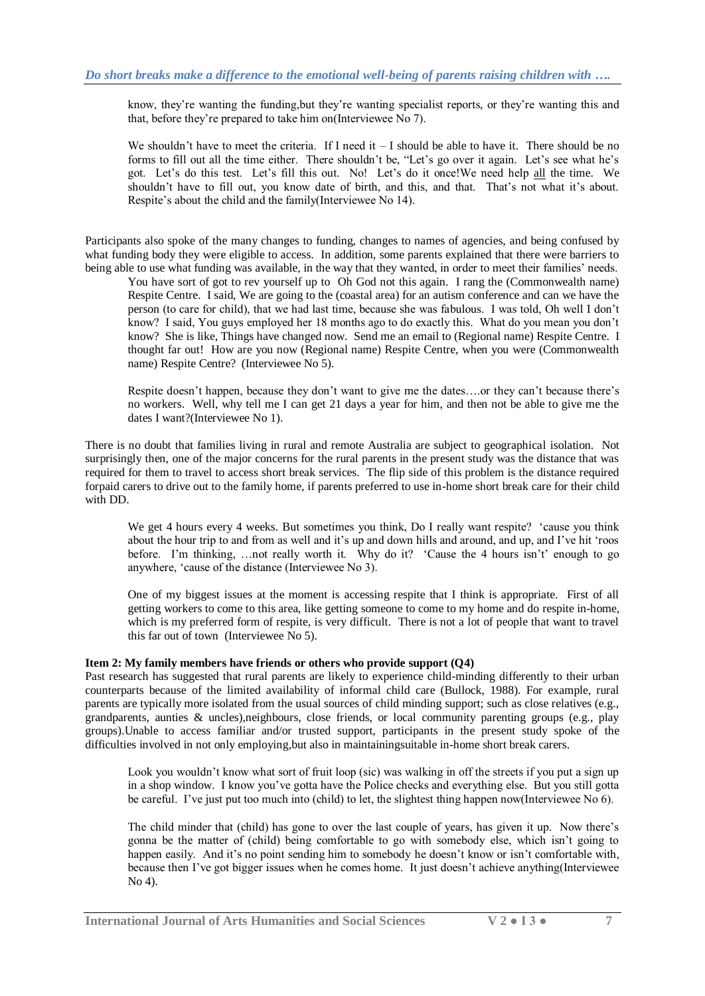know, they're wanting the funding,but they're wanting specialist reports, or they're wanting this and that, before they're prepared to take him on(Interviewee No 7).

We shouldn't have to meet the criteria. If I need it  $-$  I should be able to have it. There should be no forms to fill out all the time either. There shouldn't be, "Let's go over it again. Let's see what he's got. Let's do this test. Let's fill this out. No! Let's do it once!We need help all the time. We shouldn't have to fill out, you know date of birth, and this, and that. That's not what it's about. Respite's about the child and the family(Interviewee No 14).

Participants also spoke of the many changes to funding, changes to names of agencies, and being confused by what funding body they were eligible to access. In addition, some parents explained that there were barriers to being able to use what funding was available, in the way that they wanted, in order to meet their families' needs.

You have sort of got to rev yourself up to Oh God not this again. I rang the (Commonwealth name) Respite Centre. I said, We are going to the (coastal area) for an autism conference and can we have the person (to care for child), that we had last time, because she was fabulous. I was told, Oh well I don't know? I said, You guys employed her 18 months ago to do exactly this. What do you mean you don't know? She is like, Things have changed now. Send me an email to (Regional name) Respite Centre. I thought far out! How are you now (Regional name) Respite Centre, when you were (Commonwealth name) Respite Centre? (Interviewee No 5).

Respite doesn't happen, because they don't want to give me the dates….or they can't because there's no workers. Well, why tell me I can get 21 days a year for him, and then not be able to give me the dates I want?(Interviewee No 1).

There is no doubt that families living in rural and remote Australia are subject to geographical isolation. Not surprisingly then, one of the major concerns for the rural parents in the present study was the distance that was required for them to travel to access short break services. The flip side of this problem is the distance required forpaid carers to drive out to the family home, if parents preferred to use in-home short break care for their child with DD.

We get 4 hours every 4 weeks. But sometimes you think, Do I really want respite? 'cause you think about the hour trip to and from as well and it's up and down hills and around, and up, and I've hit 'roos before. I'm thinking, …not really worth it. Why do it? 'Cause the 4 hours isn't' enough to go anywhere, 'cause of the distance (Interviewee No 3).

One of my biggest issues at the moment is accessing respite that I think is appropriate. First of all getting workers to come to this area, like getting someone to come to my home and do respite in-home, which is my preferred form of respite, is very difficult. There is not a lot of people that want to travel this far out of town (Interviewee No 5).

#### **Item 2: My family members have friends or others who provide support (Q4)**

Past research has suggested that rural parents are likely to experience child-minding differently to their urban counterparts because of the limited availability of informal child care (Bullock, 1988). For example, rural parents are typically more isolated from the usual sources of child minding support; such as close relatives (e.g., grandparents, aunties & uncles),neighbours, close friends, or local community parenting groups (e.g., play groups).Unable to access familiar and/or trusted support, participants in the present study spoke of the difficulties involved in not only employing,but also in maintainingsuitable in-home short break carers.

Look you wouldn't know what sort of fruit loop (sic) was walking in off the streets if you put a sign up in a shop window. I know you've gotta have the Police checks and everything else. But you still gotta be careful. I've just put too much into (child) to let, the slightest thing happen now(Interviewee No 6).

The child minder that (child) has gone to over the last couple of years, has given it up. Now there's gonna be the matter of (child) being comfortable to go with somebody else, which isn't going to happen easily. And it's no point sending him to somebody he doesn't know or isn't comfortable with, because then I've got bigger issues when he comes home. It just doesn't achieve anything(Interviewee No 4).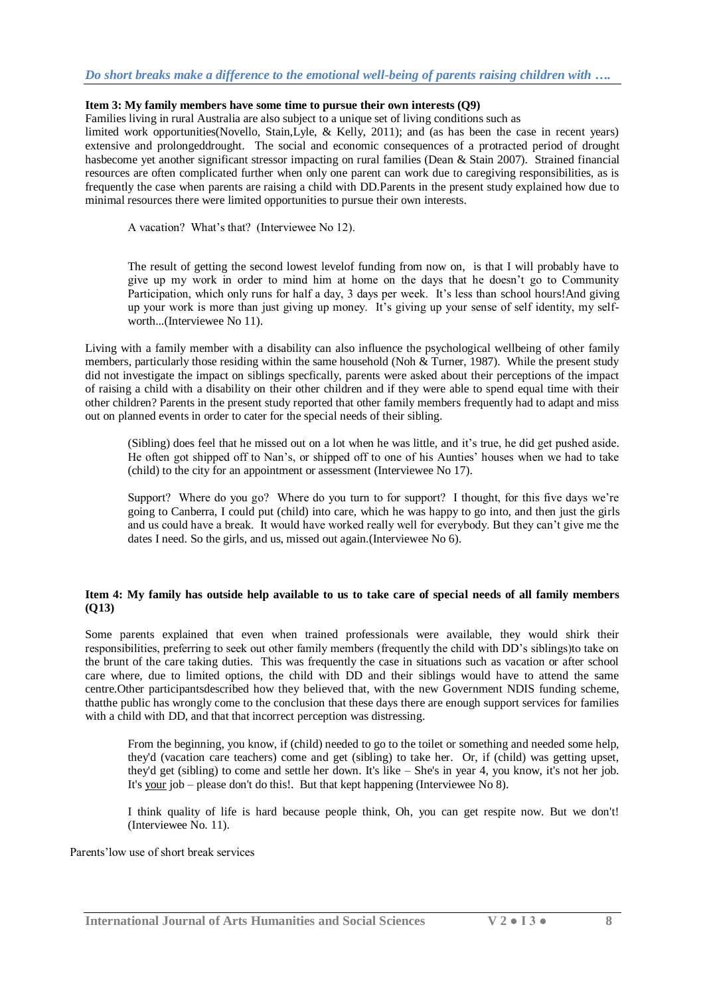#### *Do short breaks make a difference to the emotional well-being of parents raising children with ….*

#### **Item 3: My family members have some time to pursue their own interests (Q9)**

Families living in rural Australia are also subject to a unique set of living conditions such as

limited work opportunities(Novello, Stain,Lyle, & Kelly, 2011); and (as has been the case in recent years) extensive and prolongeddrought. The social and economic consequences of a protracted period of drought hasbecome yet another significant stressor impacting on rural families (Dean & Stain 2007). Strained financial resources are often complicated further when only one parent can work due to caregiving responsibilities, as is frequently the case when parents are raising a child with DD.Parents in the present study explained how due to minimal resources there were limited opportunities to pursue their own interests.

A vacation? What's that? (Interviewee No 12).

The result of getting the second lowest levelof funding from now on, is that I will probably have to give up my work in order to mind him at home on the days that he doesn't go to Community Participation, which only runs for half a day, 3 days per week. It's less than school hours!And giving up your work is more than just giving up money. It's giving up your sense of self identity, my selfworth...(Interviewee No 11).

Living with a family member with a disability can also influence the psychological wellbeing of other family members, particularly those residing within the same household (Noh & Turner, 1987). While the present study did not investigate the impact on siblings specfically, parents were asked about their perceptions of the impact of raising a child with a disability on their other children and if they were able to spend equal time with their other children? Parents in the present study reported that other family members frequently had to adapt and miss out on planned events in order to cater for the special needs of their sibling.

(Sibling) does feel that he missed out on a lot when he was little, and it's true, he did get pushed aside. He often got shipped off to Nan's, or shipped off to one of his Aunties' houses when we had to take (child) to the city for an appointment or assessment (Interviewee No 17).

Support? Where do you go? Where do you turn to for support? I thought, for this five days we're going to Canberra, I could put (child) into care, which he was happy to go into, and then just the girls and us could have a break. It would have worked really well for everybody. But they can't give me the dates I need. So the girls, and us, missed out again.(Interviewee No 6).

#### **Item 4: My family has outside help available to us to take care of special needs of all family members (Q13)**

Some parents explained that even when trained professionals were available, they would shirk their responsibilities, preferring to seek out other family members (frequently the child with DD's siblings)to take on the brunt of the care taking duties. This was frequently the case in situations such as vacation or after school care where, due to limited options, the child with DD and their siblings would have to attend the same centre.Other participantsdescribed how they believed that, with the new Government NDIS funding scheme, thatthe public has wrongly come to the conclusion that these days there are enough support services for families with a child with DD, and that that incorrect perception was distressing.

From the beginning, you know, if (child) needed to go to the toilet or something and needed some help, they'd (vacation care teachers) come and get (sibling) to take her. Or, if (child) was getting upset, they'd get (sibling) to come and settle her down. It's like – She's in year 4, you know, it's not her job. It's your job – please don't do this!. But that kept happening (Interviewee No 8).

I think quality of life is hard because people think, Oh, you can get respite now. But we don't! (Interviewee No. 11).

Parents'low use of short break services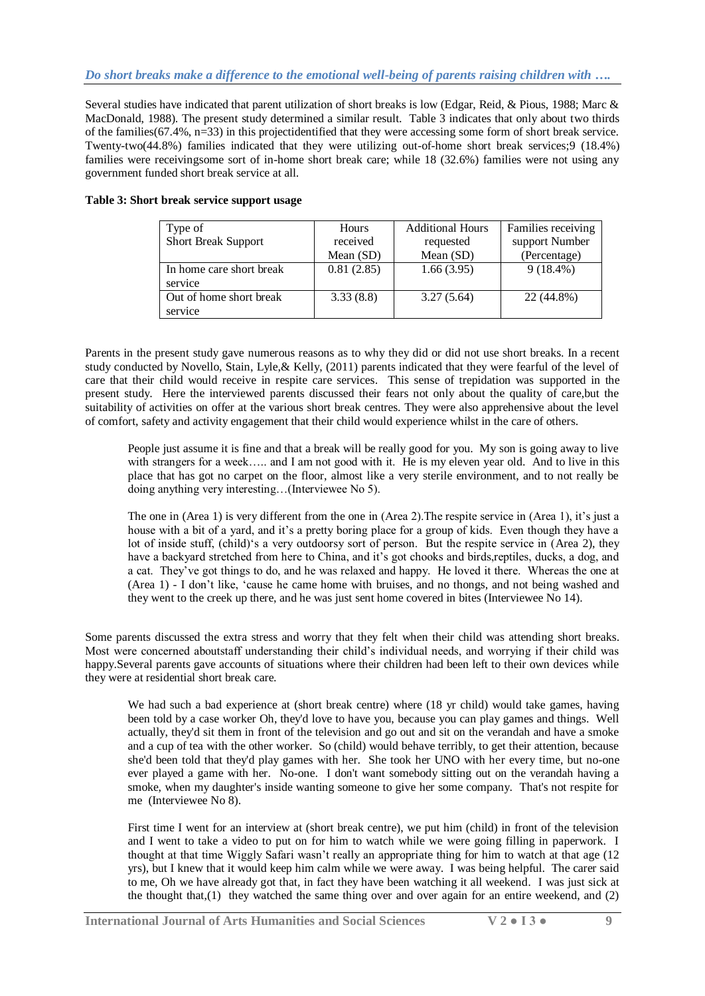### *Do short breaks make a difference to the emotional well-being of parents raising children with ….*

Several studies have indicated that parent utilization of short breaks is low (Edgar, Reid, & Pious, 1988; Marc & MacDonald, 1988). The present study determined a similar result. Table 3 indicates that only about two thirds of the families(67.4%, n=33) in this projectidentified that they were accessing some form of short break service. Twenty-two(44.8%) families indicated that they were utilizing out-of-home short break services;9 (18.4%) families were receivingsome sort of in-home short break care; while 18 (32.6%) families were not using any government funded short break service at all.

| Type of                    | Hours       | <b>Additional Hours</b> | Families receiving |
|----------------------------|-------------|-------------------------|--------------------|
| <b>Short Break Support</b> | received    | requested               | support Number     |
|                            | Mean $(SD)$ | Mean (SD)               | (Percentage)       |
| In home care short break   | 0.81(2.85)  | 1.66(3.95)              | $9(18.4\%)$        |
| service                    |             |                         |                    |
| Out of home short break    | 3.33(8.8)   | 3.27(5.64)              | 22 (44.8%)         |
| service                    |             |                         |                    |

#### **Table 3: Short break service support usage**

Parents in the present study gave numerous reasons as to why they did or did not use short breaks. In a recent study conducted by Novello, Stain, Lyle,& Kelly, (2011) parents indicated that they were fearful of the level of care that their child would receive in respite care services. This sense of trepidation was supported in the present study. Here the interviewed parents discussed their fears not only about the quality of care,but the suitability of activities on offer at the various short break centres. They were also apprehensive about the level of comfort, safety and activity engagement that their child would experience whilst in the care of others.

People just assume it is fine and that a break will be really good for you. My son is going away to live with strangers for a week..... and I am not good with it. He is my eleven year old. And to live in this place that has got no carpet on the floor, almost like a very sterile environment, and to not really be doing anything very interesting…(Interviewee No 5).

The one in (Area 1) is very different from the one in (Area 2).The respite service in (Area 1), it's just a house with a bit of a yard, and it's a pretty boring place for a group of kids. Even though they have a lot of inside stuff, (child)'s a very outdoorsy sort of person. But the respite service in (Area 2), they have a backyard stretched from here to China, and it's got chooks and birds,reptiles, ducks, a dog, and a cat. They've got things to do, and he was relaxed and happy. He loved it there. Whereas the one at (Area 1) - I don't like, 'cause he came home with bruises, and no thongs, and not being washed and they went to the creek up there, and he was just sent home covered in bites (Interviewee No 14).

Some parents discussed the extra stress and worry that they felt when their child was attending short breaks. Most were concerned aboutstaff understanding their child's individual needs, and worrying if their child was happy.Several parents gave accounts of situations where their children had been left to their own devices while they were at residential short break care.

We had such a bad experience at (short break centre) where (18 yr child) would take games, having been told by a case worker Oh, they'd love to have you, because you can play games and things. Well actually, they'd sit them in front of the television and go out and sit on the verandah and have a smoke and a cup of tea with the other worker. So (child) would behave terribly, to get their attention, because she'd been told that they'd play games with her. She took her UNO with her every time, but no-one ever played a game with her. No-one. I don't want somebody sitting out on the verandah having a smoke, when my daughter's inside wanting someone to give her some company. That's not respite for me (Interviewee No 8).

First time I went for an interview at (short break centre), we put him (child) in front of the television and I went to take a video to put on for him to watch while we were going filling in paperwork. I thought at that time Wiggly Safari wasn't really an appropriate thing for him to watch at that age (12 yrs), but I knew that it would keep him calm while we were away. I was being helpful. The carer said to me, Oh we have already got that, in fact they have been watching it all weekend*.* I was just sick at the thought that, $(1)$  they watched the same thing over and over again for an entire weekend, and  $(2)$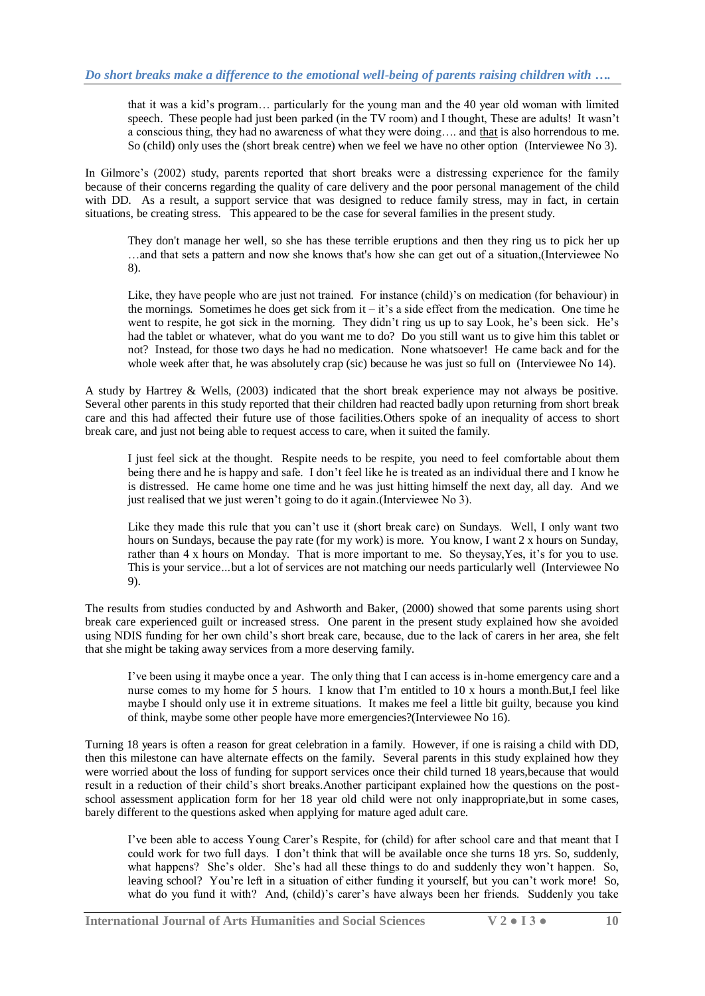that it was a kid's program… particularly for the young man and the 40 year old woman with limited speech. These people had just been parked (in the TV room) and I thought, These are adults! It wasn't a conscious thing, they had no awareness of what they were doing…. and that is also horrendous to me. So (child) only uses the (short break centre) when we feel we have no other option (Interviewee No 3).

In Gilmore's (2002) study, parents reported that short breaks were a distressing experience for the family because of their concerns regarding the quality of care delivery and the poor personal management of the child with DD. As a result, a support service that was designed to reduce family stress, may in fact, in certain situations, be creating stress. This appeared to be the case for several families in the present study.

They don't manage her well, so she has these terrible eruptions and then they ring us to pick her up …and that sets a pattern and now she knows that's how she can get out of a situation,(Interviewee No 8).

Like, they have people who are just not trained. For instance (child)'s on medication (for behaviour) in the mornings. Sometimes he does get sick from it – it's a side effect from the medication. One time he went to respite, he got sick in the morning. They didn't ring us up to say Look, he's been sick. He's had the tablet or whatever, what do you want me to do? Do you still want us to give him this tablet or not? Instead, for those two days he had no medication. None whatsoever! He came back and for the whole week after that, he was absolutely crap (sic) because he was just so full on (Interviewee No 14).

A study by Hartrey & Wells, (2003) indicated that the short break experience may not always be positive. Several other parents in this study reported that their children had reacted badly upon returning from short break care and this had affected their future use of those facilities.Others spoke of an inequality of access to short break care, and just not being able to request access to care, when it suited the family.

I just feel sick at the thought. Respite needs to be respite, you need to feel comfortable about them being there and he is happy and safe. I don't feel like he is treated as an individual there and I know he is distressed. He came home one time and he was just hitting himself the next day, all day. And we just realised that we just weren't going to do it again.(Interviewee No 3).

Like they made this rule that you can't use it (short break care) on Sundays. Well, I only want two hours on Sundays, because the pay rate (for my work) is more. You know, I want 2 x hours on Sunday, rather than 4 x hours on Monday. That is more important to me. So theysay,Yes, it's for you to use. This is your service*…*but a lot of services are not matching our needs particularly well (Interviewee No 9).

The results from studies conducted by and Ashworth and Baker, (2000) showed that some parents using short break care experienced guilt or increased stress. One parent in the present study explained how she avoided using NDIS funding for her own child's short break care, because, due to the lack of carers in her area, she felt that she might be taking away services from a more deserving family.

I've been using it maybe once a year. The only thing that I can access is in-home emergency care and a nurse comes to my home for 5 hours. I know that I'm entitled to 10 x hours a month.But,I feel like maybe I should only use it in extreme situations. It makes me feel a little bit guilty, because you kind of think, maybe some other people have more emergencies?(Interviewee No 16).

Turning 18 years is often a reason for great celebration in a family. However, if one is raising a child with DD, then this milestone can have alternate effects on the family. Several parents in this study explained how they were worried about the loss of funding for support services once their child turned 18 years,because that would result in a reduction of their child's short breaks.Another participant explained how the questions on the postschool assessment application form for her 18 year old child were not only inappropriate,but in some cases, barely different to the questions asked when applying for mature aged adult care.

I've been able to access Young Carer's Respite, for (child) for after school care and that meant that I could work for two full days. I don't think that will be available once she turns 18 yrs. So, suddenly, what happens? She's older. She's had all these things to do and suddenly they won't happen. So, leaving school? You're left in a situation of either funding it yourself, but you can't work more! So, what do you fund it with? And, (child)'s carer's have always been her friends. Suddenly you take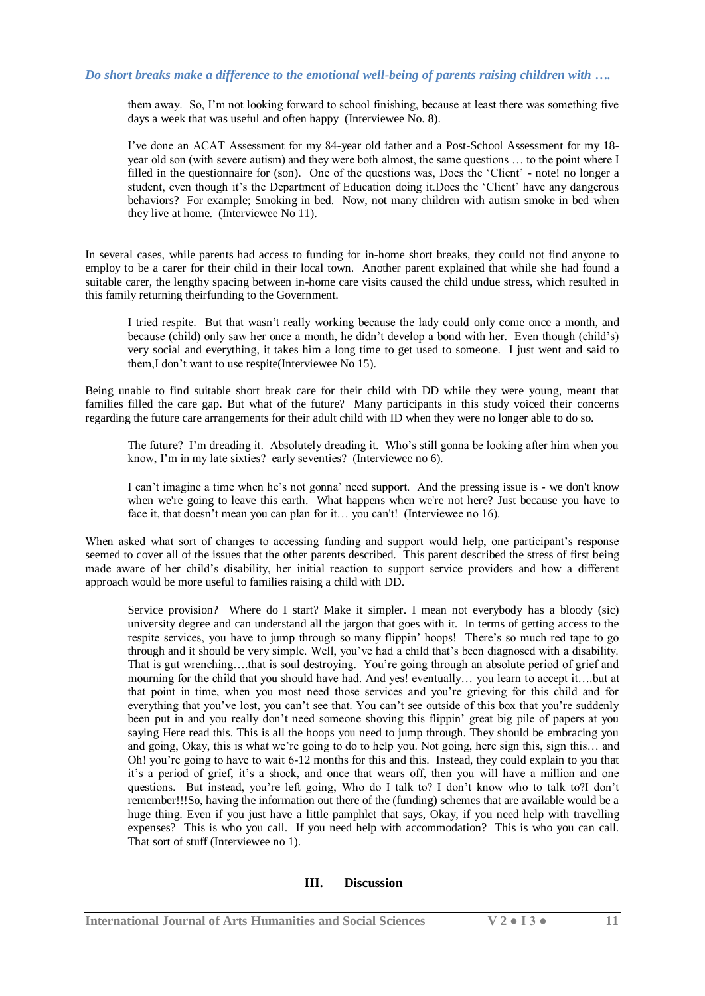them away. So, I'm not looking forward to school finishing, because at least there was something five days a week that was useful and often happy (Interviewee No. 8).

I've done an ACAT Assessment for my 84-year old father and a Post-School Assessment for my 18 year old son (with severe autism) and they were both almost, the same questions … to the point where I filled in the questionnaire for (son). One of the questions was, Does the 'Client' - note! no longer a student, even though it's the Department of Education doing it.Does the 'Client' have any dangerous behaviors? For example; Smoking in bed. Now, not many children with autism smoke in bed when they live at home. (Interviewee No 11).

In several cases, while parents had access to funding for in-home short breaks, they could not find anyone to employ to be a carer for their child in their local town. Another parent explained that while she had found a suitable carer, the lengthy spacing between in-home care visits caused the child undue stress, which resulted in this family returning theirfunding to the Government.

I tried respite. But that wasn't really working because the lady could only come once a month, and because (child) only saw her once a month, he didn't develop a bond with her. Even though (child's) very social and everything, it takes him a long time to get used to someone. I just went and said to them,I don't want to use respite(Interviewee No 15).

Being unable to find suitable short break care for their child with DD while they were young, meant that families filled the care gap. But what of the future? Many participants in this study voiced their concerns regarding the future care arrangements for their adult child with ID when they were no longer able to do so.

The future? I'm dreading it. Absolutely dreading it. Who's still gonna be looking after him when you know, I'm in my late sixties? early seventies? (Interviewee no 6).

I can't imagine a time when he's not gonna' need support. And the pressing issue is - we don't know when we're going to leave this earth. What happens when we're not here? Just because you have to face it, that doesn't mean you can plan for it… you can't! (Interviewee no 16).

When asked what sort of changes to accessing funding and support would help, one participant's response seemed to cover all of the issues that the other parents described. This parent described the stress of first being made aware of her child's disability, her initial reaction to support service providers and how a different approach would be more useful to families raising a child with DD.

Service provision? Where do I start? Make it simpler. I mean not everybody has a bloody (sic) university degree and can understand all the jargon that goes with it. In terms of getting access to the respite services, you have to jump through so many flippin' hoops! There's so much red tape to go through and it should be very simple. Well, you've had a child that's been diagnosed with a disability. That is gut wrenching….that is soul destroying. You're going through an absolute period of grief and mourning for the child that you should have had. And yes! eventually… you learn to accept it….but at that point in time, when you most need those services and you're grieving for this child and for everything that you've lost, you can't see that. You can't see outside of this box that you're suddenly been put in and you really don't need someone shoving this flippin' great big pile of papers at you saying Here read this. This is all the hoops you need to jump through. They should be embracing you and going, Okay, this is what we're going to do to help you. Not going, here sign this, sign this… and Oh! you're going to have to wait 6-12 months for this and this. Instead, they could explain to you that it's a period of grief, it's a shock, and once that wears off, then you will have a million and one questions. But instead, you're left going, Who do I talk to? I don't know who to talk to?I don't remember!!!So, having the information out there of the (funding) schemes that are available would be a huge thing. Even if you just have a little pamphlet that says, Okay, if you need help with travelling expenses? This is who you call. If you need help with accommodation? This is who you can call. That sort of stuff (Interviewee no 1).

#### **III. Discussion**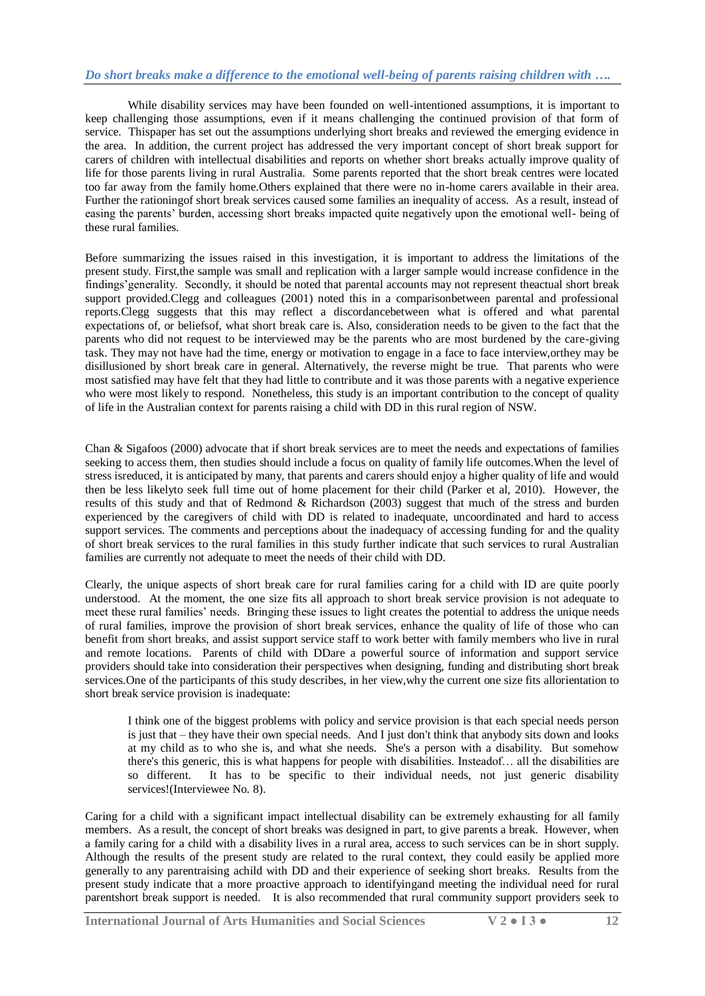#### *Do short breaks make a difference to the emotional well-being of parents raising children with ….*

While disability services may have been founded on well-intentioned assumptions, it is important to keep challenging those assumptions, even if it means challenging the continued provision of that form of service. Thispaper has set out the assumptions underlying short breaks and reviewed the emerging evidence in the area. In addition, the current project has addressed the very important concept of short break support for carers of children with intellectual disabilities and reports on whether short breaks actually improve quality of life for those parents living in rural Australia. Some parents reported that the short break centres were located too far away from the family home.Others explained that there were no in-home carers available in their area. Further the rationingof short break services caused some families an inequality of access. As a result, instead of easing the parents' burden, accessing short breaks impacted quite negatively upon the emotional well- being of these rural families.

Before summarizing the issues raised in this investigation, it is important to address the limitations of the present study. First,the sample was small and replication with a larger sample would increase confidence in the findings'generality. Secondly, it should be noted that parental accounts may not represent theactual short break support provided.Clegg and colleagues (2001) noted this in a comparisonbetween parental and professional reports.Clegg suggests that this may reflect a discordancebetween what is offered and what parental expectations of, or beliefsof, what short break care is. Also, consideration needs to be given to the fact that the parents who did not request to be interviewed may be the parents who are most burdened by the care-giving task. They may not have had the time, energy or motivation to engage in a face to face interview,orthey may be disillusioned by short break care in general. Alternatively, the reverse might be true. That parents who were most satisfied may have felt that they had little to contribute and it was those parents with a negative experience who were most likely to respond. Nonetheless, this study is an important contribution to the concept of quality of life in the Australian context for parents raising a child with DD in this rural region of NSW.

Chan & Sigafoos (2000) advocate that if short break services are to meet the needs and expectations of families seeking to access them, then studies should include a focus on quality of family life outcomes.When the level of stress isreduced, it is anticipated by many, that parents and carers should enjoy a higher quality of life and would then be less likelyto seek full time out of home placement for their child (Parker et al, 2010). However, the results of this study and that of Redmond & Richardson (2003) suggest that much of the stress and burden experienced by the caregivers of child with DD is related to inadequate, uncoordinated and hard to access support services. The comments and perceptions about the inadequacy of accessing funding for and the quality of short break services to the rural families in this study further indicate that such services to rural Australian families are currently not adequate to meet the needs of their child with DD.

Clearly, the unique aspects of short break care for rural families caring for a child with ID are quite poorly understood. At the moment, the one size fits all approach to short break service provision is not adequate to meet these rural families' needs. Bringing these issues to light creates the potential to address the unique needs of rural families, improve the provision of short break services, enhance the quality of life of those who can benefit from short breaks, and assist support service staff to work better with family members who live in rural and remote locations. Parents of child with DDare a powerful source of information and support service providers should take into consideration their perspectives when designing, funding and distributing short break services.One of the participants of this study describes, in her view,why the current one size fits allorientation to short break service provision is inadequate:

I think one of the biggest problems with policy and service provision is that each special needs person is just that – they have their own special needs. And I just don't think that anybody sits down and looks at my child as to who she is, and what she needs. She's a person with a disability. But somehow there's this generic, this is what happens for people with disabilities. Insteadof… all the disabilities are so different. It has to be specific to their individual needs, not just generic disability services!(Interviewee No. 8).

Caring for a child with a significant impact intellectual disability can be extremely exhausting for all family members. As a result, the concept of short breaks was designed in part, to give parents a break. However, when a family caring for a child with a disability lives in a rural area, access to such services can be in short supply. Although the results of the present study are related to the rural context, they could easily be applied more generally to any parentraising achild with DD and their experience of seeking short breaks. Results from the present study indicate that a more proactive approach to identifyingand meeting the individual need for rural parentshort break support is needed. It is also recommended that rural community support providers seek to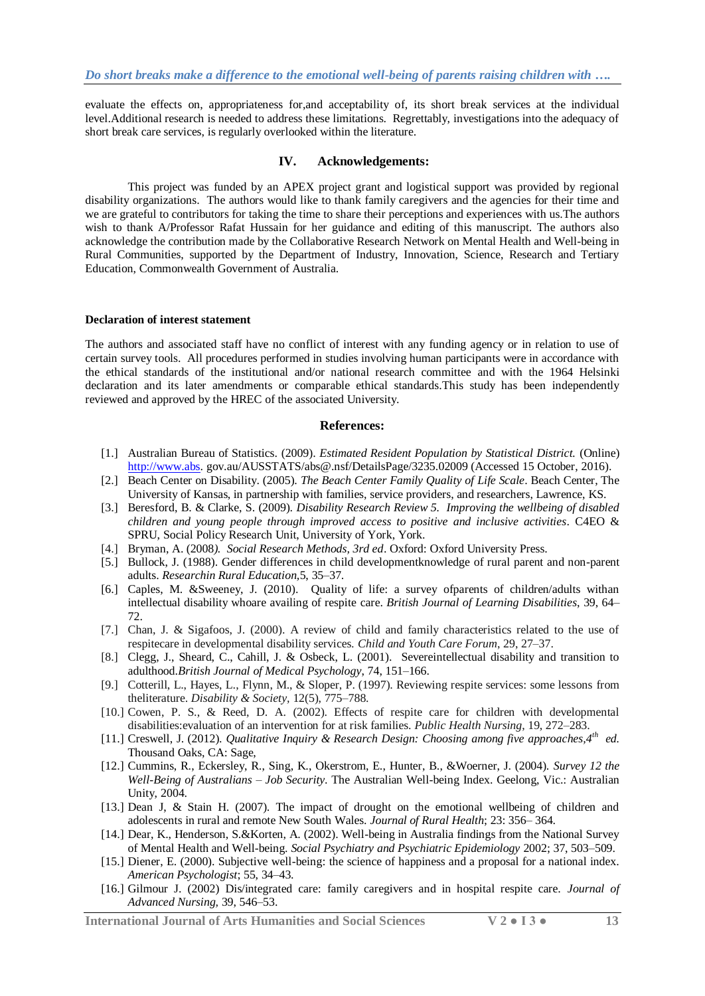evaluate the effects on, appropriateness for,and acceptability of, its short break services at the individual level.Additional research is needed to address these limitations. Regrettably, investigations into the adequacy of short break care services, is regularly overlooked within the literature.

#### **IV. Acknowledgements:**

This project was funded by an APEX project grant and logistical support was provided by regional disability organizations. The authors would like to thank family caregivers and the agencies for their time and we are grateful to contributors for taking the time to share their perceptions and experiences with us.The authors wish to thank A/Professor Rafat Hussain for her guidance and editing of this manuscript. The authors also acknowledge the contribution made by the Collaborative Research Network on Mental Health and Well-being in Rural Communities, supported by the Department of Industry, Innovation, Science, Research and Tertiary Education, Commonwealth Government of Australia.

#### **Declaration of interest statement**

The authors and associated staff have no conflict of interest with any funding agency or in relation to use of certain survey tools. All procedures performed in studies involving human participants were in accordance with the ethical standards of the institutional and/or national research committee and with the 1964 Helsinki declaration and its later amendments or comparable ethical standards.This study has been independently reviewed and approved by the HREC of the associated University.

#### **References:**

- [1.] Australian Bureau of Statistics. (2009). *Estimated Resident Population by Statistical District.* (Online) [http://www.abs.](http://www.abs/) gov.au/AUSSTATS/abs@.nsf/DetailsPage/3235.02009 (Accessed 15 October, 2016).
- [2.] Beach Center on Disability. (2005). *The Beach Center Family Quality of Life Scale*. Beach Center, The University of Kansas, in partnership with families, service providers, and researchers, Lawrence, KS.
- [3.] Beresford, B. & Clarke, S. (2009). *Disability Research Review 5. Improving the wellbeing of disabled children and young people through improved access to positive and inclusive activities*. C4EO & SPRU, Social Policy Research Unit, University of York, York.
- [4.] Bryman, A. (2008*). Social Research Methods, 3rd ed*. Oxford: Oxford University Press.
- [5.] Bullock, J. (1988). Gender differences in child developmentknowledge of rural parent and non-parent adults. *Researchin Rural Education,*5, 35–37.
- [6.] Caples, M. &Sweeney, J. (2010). Quality of life: a survey ofparents of children/adults withan intellectual disability whoare availing of respite care. *British Journal of Learning Disabilities*, 39, 64– 72.
- [7.] Chan, J. & Sigafoos, J. (2000). A review of child and family characteristics related to the use of respitecare in developmental disability services*. Child and Youth Care Forum*, 29, 27–37.
- [8.] Clegg, J., Sheard, C., Cahill, J. & Osbeck, L. (2001). Severeintellectual disability and transition to adulthood.*British Journal of Medical Psychology*, 74, 151–166.
- [9.] Cotterill, L., Hayes, L., Flynn, M., & Sloper, P. (1997). Reviewing respite services: some lessons from theliterature. *Disability & Society,* 12(5), 775–788.
- [10.] Cowen, P. S., & Reed, D. A. (2002). Effects of respite care for children with developmental disabilities:evaluation of an intervention for at risk families. *Public Health Nursing*, 19, 272–283.
- [11.] Creswell, J. (2012). *Qualitative Inquiry & Research Design: Choosing among five approaches,4th ed.* Thousand Oaks, CA: Sage,
- [12.] Cummins, R., Eckersley, R., Sing, K., Okerstrom, E., Hunter, B., &Woerner, J. (2004). *Survey 12 the Well-Being of Australians – Job Security*. The Australian Well-being Index. Geelong, Vic.: Australian Unity, 2004.
- [13.] Dean J, & Stain H. (2007). The impact of drought on the emotional wellbeing of children and adolescents in rural and remote New South Wales. *Journal of Rural Health*; 23: 356– 364.
- [14.] Dear, K., Henderson, S.&Korten, A. (2002). Well-being in Australia findings from the National Survey of Mental Health and Well-being. *Social Psychiatry and Psychiatric Epidemiology* 2002; 37, 503–509.
- [15.] Diener, E. (2000). Subjective well-being: the science of happiness and a proposal for a national index. *American Psychologist*; 55, 34–43.
- [16.] Gilmour J. (2002) Dis/integrated care: family caregivers and in hospital respite care. *Journal of Advanced Nursing,* 39, 546–53.